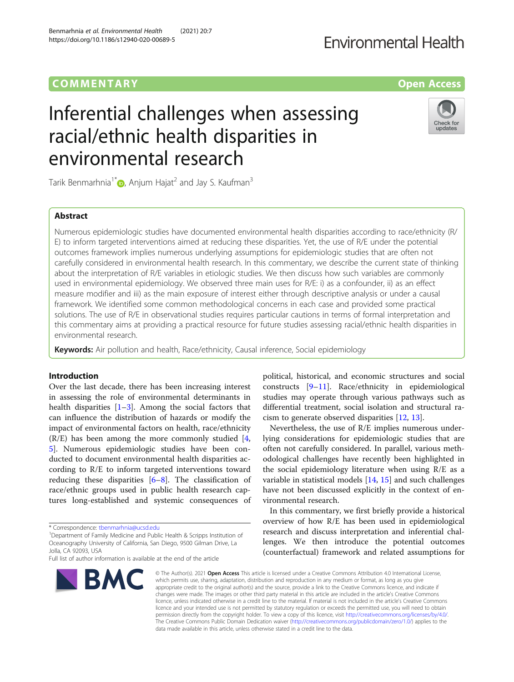## **COMMENTARY** COMMENTARY **COMMENTARY**

# Inferential challenges when assessing racial/ethnic health disparities in environmental research

Tarik Benmarhnia<sup>1\*</sup> , Anjum Hajat<sup>2</sup> and Jay S. Kaufman<sup>3</sup>

## Abstract

Numerous epidemiologic studies have documented environmental health disparities according to race/ethnicity (R/ E) to inform targeted interventions aimed at reducing these disparities. Yet, the use of R/E under the potential outcomes framework implies numerous underlying assumptions for epidemiologic studies that are often not carefully considered in environmental health research. In this commentary, we describe the current state of thinking about the interpretation of R/E variables in etiologic studies. We then discuss how such variables are commonly used in environmental epidemiology. We observed three main uses for R/E: i) as a confounder, ii) as an effect measure modifier and iii) as the main exposure of interest either through descriptive analysis or under a causal framework. We identified some common methodological concerns in each case and provided some practical solutions. The use of R/E in observational studies requires particular cautions in terms of formal interpretation and this commentary aims at providing a practical resource for future studies assessing racial/ethnic health disparities in environmental research.

Keywords: Air pollution and health, Race/ethnicity, Causal inference, Social epidemiology

## Introduction

Over the last decade, there has been increasing interest in assessing the role of environmental determinants in health disparities  $[1-3]$  $[1-3]$  $[1-3]$  $[1-3]$ . Among the social factors that can influence the distribution of hazards or modify the impact of environmental factors on health, race/ethnicity  $(R/E)$  has been among the more commonly studied [\[4](#page-7-0), [5\]](#page-7-0). Numerous epidemiologic studies have been conducted to document environmental health disparities according to R/E to inform targeted interventions toward reducing these disparities  $[6-8]$  $[6-8]$  $[6-8]$  $[6-8]$  $[6-8]$ . The classification of race/ethnic groups used in public health research captures long-established and systemic consequences of

<sup>1</sup>Department of Family Medicine and Public Health & Scripps Institution of Oceanography University of California, San Diego, 9500 Gilman Drive, La Jolla, CA 92093, USA



Nevertheless, the use of R/E implies numerous underlying considerations for epidemiologic studies that are often not carefully considered. In parallel, various methodological challenges have recently been highlighted in the social epidemiology literature when using R/E as a variable in statistical models [\[14](#page-7-0), [15\]](#page-7-0) and such challenges have not been discussed explicitly in the context of environmental research.

In this commentary, we first briefly provide a historical overview of how R/E has been used in epidemiological research and discuss interpretation and inferential challenges. We then introduce the potential outcomes (counterfactual) framework and related assumptions for

© The Author(s), 2021 **Open Access** This article is licensed under a Creative Commons Attribution 4.0 International License, which permits use, sharing, adaptation, distribution and reproduction in any medium or format, as long as you give appropriate credit to the original author(s) and the source, provide a link to the Creative Commons licence, and indicate if changes were made. The images or other third party material in this article are included in the article's Creative Commons licence, unless indicated otherwise in a credit line to the material. If material is not included in the article's Creative Commons licence and your intended use is not permitted by statutory regulation or exceeds the permitted use, you will need to obtain permission directly from the copyright holder. To view a copy of this licence, visit [http://creativecommons.org/licenses/by/4.0/.](http://creativecommons.org/licenses/by/4.0/) The Creative Commons Public Domain Dedication waiver [\(http://creativecommons.org/publicdomain/zero/1.0/](http://creativecommons.org/publicdomain/zero/1.0/)) applies to the data made available in this article, unless otherwise stated in a credit line to the data.

Benmarhnia et al. Environmental Health (2021) 20:7 https://doi.org/10.1186/s12940-020-00689-5









<sup>\*</sup> Correspondence: [tbenmarhnia@ucsd.edu](mailto:tbenmarhnia@ucsd.edu) <sup>1</sup>

Full list of author information is available at the end of the article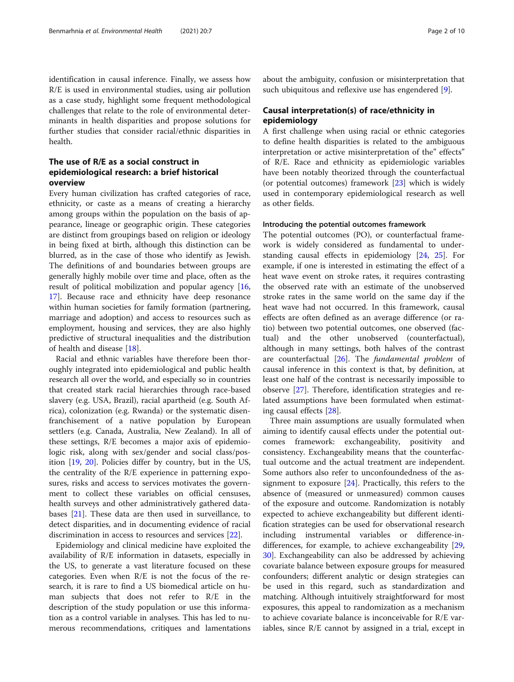identification in causal inference. Finally, we assess how R/E is used in environmental studies, using air pollution as a case study, highlight some frequent methodological challenges that relate to the role of environmental determinants in health disparities and propose solutions for further studies that consider racial/ethnic disparities in health.

## The use of R/E as a social construct in epidemiological research: a brief historical overview

Every human civilization has crafted categories of race, ethnicity, or caste as a means of creating a hierarchy among groups within the population on the basis of appearance, lineage or geographic origin. These categories are distinct from groupings based on religion or ideology in being fixed at birth, although this distinction can be blurred, as in the case of those who identify as Jewish. The definitions of and boundaries between groups are generally highly mobile over time and place, often as the result of political mobilization and popular agency [[16](#page-7-0), [17\]](#page-8-0). Because race and ethnicity have deep resonance within human societies for family formation (partnering, marriage and adoption) and access to resources such as employment, housing and services, they are also highly predictive of structural inequalities and the distribution of health and disease [\[18](#page-8-0)].

Racial and ethnic variables have therefore been thoroughly integrated into epidemiological and public health research all over the world, and especially so in countries that created stark racial hierarchies through race-based slavery (e.g. USA, Brazil), racial apartheid (e.g. South Africa), colonization (e.g. Rwanda) or the systematic disenfranchisement of a native population by European settlers (e.g. Canada, Australia, New Zealand). In all of these settings, R/E becomes a major axis of epidemiologic risk, along with sex/gender and social class/position [[19,](#page-8-0) [20\]](#page-8-0). Policies differ by country, but in the US, the centrality of the R/E experience in patterning exposures, risks and access to services motivates the government to collect these variables on official censuses, health surveys and other administratively gathered databases [\[21](#page-8-0)]. These data are then used in surveillance, to detect disparities, and in documenting evidence of racial discrimination in access to resources and services [[22\]](#page-8-0).

Epidemiology and clinical medicine have exploited the availability of R/E information in datasets, especially in the US, to generate a vast literature focused on these categories. Even when R/E is not the focus of the research, it is rare to find a US biomedical article on human subjects that does not refer to R/E in the description of the study population or use this information as a control variable in analyses. This has led to numerous recommendations, critiques and lamentations about the ambiguity, confusion or misinterpretation that such ubiquitous and reflexive use has engendered [\[9](#page-7-0)].

## Causal interpretation(s) of race/ethnicity in epidemiology

A first challenge when using racial or ethnic categories to define health disparities is related to the ambiguous interpretation or active misinterpretation of the" effects" of R/E. Race and ethnicity as epidemiologic variables have been notably theorized through the counterfactual (or potential outcomes) framework [[23](#page-8-0)] which is widely used in contemporary epidemiological research as well as other fields.

#### Introducing the potential outcomes framework

The potential outcomes (PO), or counterfactual framework is widely considered as fundamental to understanding causal effects in epidemiology [[24](#page-8-0), [25](#page-8-0)]. For example, if one is interested in estimating the effect of a heat wave event on stroke rates, it requires contrasting the observed rate with an estimate of the unobserved stroke rates in the same world on the same day if the heat wave had not occurred. In this framework, causal effects are often defined as an average difference (or ratio) between two potential outcomes, one observed (factual) and the other unobserved (counterfactual), although in many settings, both halves of the contrast are counterfactual  $[26]$  $[26]$  $[26]$ . The *fundamental problem* of causal inference in this context is that, by definition, at least one half of the contrast is necessarily impossible to observe [[27\]](#page-8-0). Therefore, identification strategies and related assumptions have been formulated when estimating causal effects [\[28\]](#page-8-0).

Three main assumptions are usually formulated when aiming to identify causal effects under the potential outcomes framework: exchangeability, positivity and consistency. Exchangeability means that the counterfactual outcome and the actual treatment are independent. Some authors also refer to unconfoundedness of the assignment to exposure  $[24]$  $[24]$ . Practically, this refers to the absence of (measured or unmeasured) common causes of the exposure and outcome. Randomization is notably expected to achieve exchangeability but different identification strategies can be used for observational research including instrumental variables or difference-indifferences, for example, to achieve exchangeability [[29](#page-8-0), [30\]](#page-8-0). Exchangeability can also be addressed by achieving covariate balance between exposure groups for measured confounders; different analytic or design strategies can be used in this regard, such as standardization and matching. Although intuitively straightforward for most exposures, this appeal to randomization as a mechanism to achieve covariate balance is inconceivable for R/E variables, since R/E cannot by assigned in a trial, except in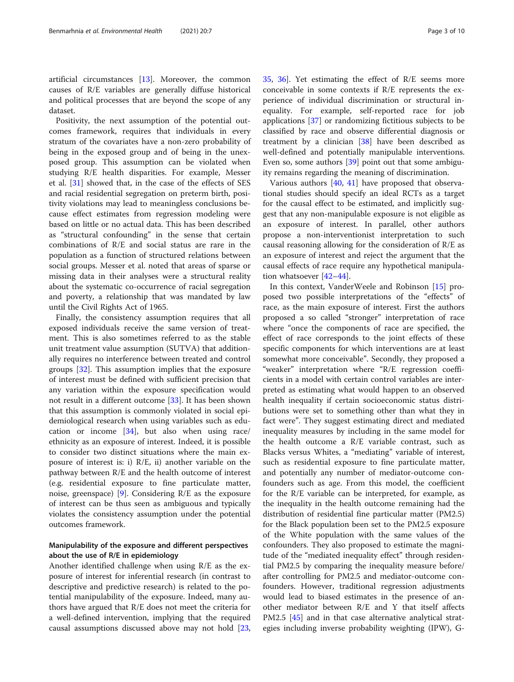artificial circumstances [\[13\]](#page-7-0). Moreover, the common causes of R/E variables are generally diffuse historical and political processes that are beyond the scope of any dataset.

Positivity, the next assumption of the potential outcomes framework, requires that individuals in every stratum of the covariates have a non-zero probability of being in the exposed group and of being in the unexposed group. This assumption can be violated when studying R/E health disparities. For example, Messer et al. [[31\]](#page-8-0) showed that, in the case of the effects of SES and racial residential segregation on preterm birth, positivity violations may lead to meaningless conclusions because effect estimates from regression modeling were based on little or no actual data. This has been described as "structural confounding" in the sense that certain combinations of R/E and social status are rare in the population as a function of structured relations between social groups. Messer et al. noted that areas of sparse or missing data in their analyses were a structural reality about the systematic co-occurrence of racial segregation and poverty, a relationship that was mandated by law until the Civil Rights Act of 1965.

Finally, the consistency assumption requires that all exposed individuals receive the same version of treatment. This is also sometimes referred to as the stable unit treatment value assumption (SUTVA) that additionally requires no interference between treated and control groups [[32](#page-8-0)]. This assumption implies that the exposure of interest must be defined with sufficient precision that any variation within the exposure specification would not result in a different outcome [\[33](#page-8-0)]. It has been shown that this assumption is commonly violated in social epidemiological research when using variables such as education or income [[34](#page-8-0)], but also when using race/ ethnicity as an exposure of interest. Indeed, it is possible to consider two distinct situations where the main exposure of interest is: i) R/E, ii) another variable on the pathway between R/E and the health outcome of interest (e.g. residential exposure to fine particulate matter, noise, greenspace) [[9\]](#page-7-0). Considering R/E as the exposure of interest can be thus seen as ambiguous and typically violates the consistency assumption under the potential outcomes framework.

## Manipulability of the exposure and different perspectives about the use of R/E in epidemiology

Another identified challenge when using R/E as the exposure of interest for inferential research (in contrast to descriptive and predictive research) is related to the potential manipulability of the exposure. Indeed, many authors have argued that R/E does not meet the criteria for a well-defined intervention, implying that the required causal assumptions discussed above may not hold [[23](#page-8-0), [35,](#page-8-0) [36\]](#page-8-0). Yet estimating the effect of R/E seems more conceivable in some contexts if R/E represents the experience of individual discrimination or structural inequality. For example, self-reported race for job applications [[37\]](#page-8-0) or randomizing fictitious subjects to be classified by race and observe differential diagnosis or treatment by a clinician [\[38](#page-8-0)] have been described as well-defined and potentially manipulable interventions. Even so, some authors [[39](#page-8-0)] point out that some ambiguity remains regarding the meaning of discrimination.

Various authors [\[40](#page-8-0), [41](#page-8-0)] have proposed that observational studies should specify an ideal RCTs as a target for the causal effect to be estimated, and implicitly suggest that any non-manipulable exposure is not eligible as an exposure of interest. In parallel, other authors propose a non-interventionist interpretation to such causal reasoning allowing for the consideration of R/E as an exposure of interest and reject the argument that the causal effects of race require any hypothetical manipulation whatsoever [[42](#page-8-0)–[44](#page-8-0)].

In this context, VanderWeele and Robinson [\[15\]](#page-7-0) proposed two possible interpretations of the "effects" of race, as the main exposure of interest. First the authors proposed a so called "stronger" interpretation of race where "once the components of race are specified, the effect of race corresponds to the joint effects of these specific components for which interventions are at least somewhat more conceivable". Secondly, they proposed a "weaker" interpretation where "R/E regression coefficients in a model with certain control variables are interpreted as estimating what would happen to an observed health inequality if certain socioeconomic status distributions were set to something other than what they in fact were". They suggest estimating direct and mediated inequality measures by including in the same model for the health outcome a R/E variable contrast, such as Blacks versus Whites, a "mediating" variable of interest, such as residential exposure to fine particulate matter, and potentially any number of mediator-outcome confounders such as age. From this model, the coefficient for the R/E variable can be interpreted, for example, as the inequality in the health outcome remaining had the distribution of residential fine particular matter (PM2.5) for the Black population been set to the PM2.5 exposure of the White population with the same values of the confounders. They also proposed to estimate the magnitude of the "mediated inequality effect" through residential PM2.5 by comparing the inequality measure before/ after controlling for PM2.5 and mediator-outcome confounders. However, traditional regression adjustments would lead to biased estimates in the presence of another mediator between R/E and Y that itself affects PM2.5 [[45](#page-8-0)] and in that case alternative analytical strategies including inverse probability weighting (IPW), G-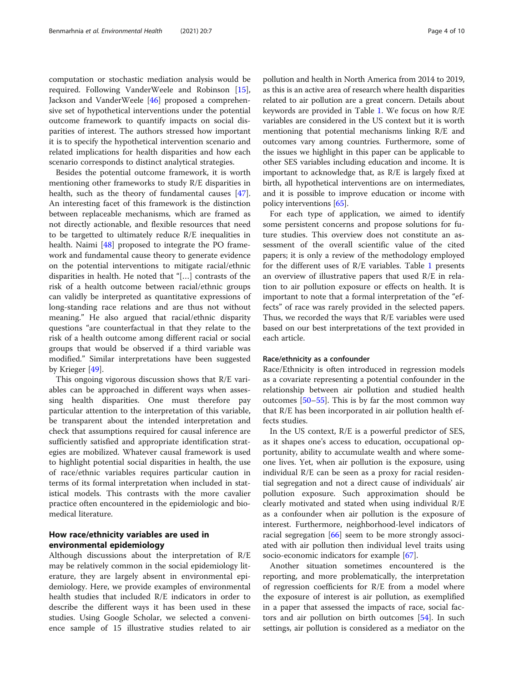computation or stochastic mediation analysis would be required. Following VanderWeele and Robinson [\[15](#page-7-0)], Jackson and VanderWeele [[46](#page-8-0)] proposed a comprehensive set of hypothetical interventions under the potential outcome framework to quantify impacts on social disparities of interest. The authors stressed how important it is to specify the hypothetical intervention scenario and related implications for health disparities and how each scenario corresponds to distinct analytical strategies.

Besides the potential outcome framework, it is worth mentioning other frameworks to study R/E disparities in health, such as the theory of fundamental causes [\[47](#page-8-0)]. An interesting facet of this framework is the distinction between replaceable mechanisms, which are framed as not directly actionable, and flexible resources that need to be targetted to ultimately reduce R/E inequalities in health. Naimi [[48\]](#page-8-0) proposed to integrate the PO framework and fundamental cause theory to generate evidence on the potential interventions to mitigate racial/ethnic disparities in health. He noted that "[…] contrasts of the risk of a health outcome between racial/ethnic groups can validly be interpreted as quantitative expressions of long-standing race relations and are thus not without meaning." He also argued that racial/ethnic disparity questions "are counterfactual in that they relate to the risk of a health outcome among different racial or social groups that would be observed if a third variable was modified." Similar interpretations have been suggested by Krieger [\[49](#page-8-0)].

This ongoing vigorous discussion shows that R/E variables can be approached in different ways when assessing health disparities. One must therefore pay particular attention to the interpretation of this variable, be transparent about the intended interpretation and check that assumptions required for causal inference are sufficiently satisfied and appropriate identification strategies are mobilized. Whatever causal framework is used to highlight potential social disparities in health, the use of race/ethnic variables requires particular caution in terms of its formal interpretation when included in statistical models. This contrasts with the more cavalier practice often encountered in the epidemiologic and biomedical literature.

## How race/ethnicity variables are used in environmental epidemiology

Although discussions about the interpretation of R/E may be relatively common in the social epidemiology literature, they are largely absent in environmental epidemiology. Here, we provide examples of environmental health studies that included R/E indicators in order to describe the different ways it has been used in these studies. Using Google Scholar, we selected a convenience sample of 15 illustrative studies related to air

pollution and health in North America from 2014 to 2019, as this is an active area of research where health disparities related to air pollution are a great concern. Details about keywords are provided in Table [1.](#page-4-0) We focus on how R/E variables are considered in the US context but it is worth mentioning that potential mechanisms linking R/E and outcomes vary among countries. Furthermore, some of the issues we highlight in this paper can be applicable to other SES variables including education and income. It is important to acknowledge that, as R/E is largely fixed at birth, all hypothetical interventions are on intermediates, and it is possible to improve education or income with policy interventions [\[65\]](#page-8-0).

For each type of application, we aimed to identify some persistent concerns and propose solutions for future studies. This overview does not constitute an assessment of the overall scientific value of the cited papers; it is only a review of the methodology employed for the different uses of R/E variables. Table [1](#page-4-0) presents an overview of illustrative papers that used R/E in relation to air pollution exposure or effects on health. It is important to note that a formal interpretation of the "effects" of race was rarely provided in the selected papers. Thus, we recorded the ways that R/E variables were used based on our best interpretations of the text provided in each article.

#### Race/ethnicity as a confounder

Race/Ethnicity is often introduced in regression models as a covariate representing a potential confounder in the relationship between air pollution and studied health outcomes [[50](#page-8-0)–[55](#page-8-0)]. This is by far the most common way that R/E has been incorporated in air pollution health effects studies.

In the US context, R/E is a powerful predictor of SES, as it shapes one's access to education, occupational opportunity, ability to accumulate wealth and where someone lives. Yet, when air pollution is the exposure, using individual R/E can be seen as a proxy for racial residential segregation and not a direct cause of individuals' air pollution exposure. Such approximation should be clearly motivated and stated when using individual R/E as a confounder when air pollution is the exposure of interest. Furthermore, neighborhood-level indicators of racial segregation [\[66](#page-8-0)] seem to be more strongly associated with air pollution then individual level traits using socio-economic indicators for example  $\vert 67 \vert$ .

Another situation sometimes encountered is the reporting, and more problematically, the interpretation of regression coefficients for R/E from a model where the exposure of interest is air pollution, as exemplified in a paper that assessed the impacts of race, social factors and air pollution on birth outcomes [\[54\]](#page-8-0). In such settings, air pollution is considered as a mediator on the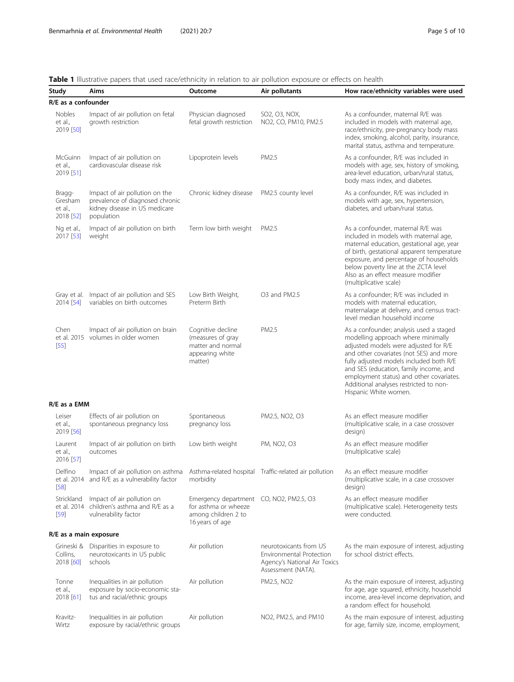## <span id="page-4-0"></span>Table 1 Illustrative papers that used race/ethnicity in relation to air pollution exposure or effects on health

| Study                                     | Aims                                                                                                             | Outcome                                                                                                   | Air pollutants                                                                                           | How race/ethnicity variables were used                                                                                                                                                                                                                                                                                                                                |
|-------------------------------------------|------------------------------------------------------------------------------------------------------------------|-----------------------------------------------------------------------------------------------------------|----------------------------------------------------------------------------------------------------------|-----------------------------------------------------------------------------------------------------------------------------------------------------------------------------------------------------------------------------------------------------------------------------------------------------------------------------------------------------------------------|
| R/E as a confounder                       |                                                                                                                  |                                                                                                           |                                                                                                          |                                                                                                                                                                                                                                                                                                                                                                       |
| Nobles<br>et al.,<br>2019 [50]            | Impact of air pollution on fetal<br>growth restriction                                                           | Physician diagnosed<br>fetal growth restriction                                                           | SO2, O3, NOX,<br>NO2, CO, PM10, PM2.5                                                                    | As a confounder, maternal R/E was<br>included in models with maternal age,<br>race/ethnicity, pre-pregnancy body mass<br>index, smoking, alcohol, parity, insurance,<br>marital status, asthma and temperature.                                                                                                                                                       |
| McGuinn<br>et al.,<br>2019 [51]           | Impact of air pollution on<br>cardiovascular disease risk                                                        | Lipoprotein levels                                                                                        | PM2.5                                                                                                    | As a confounder, R/E was included in<br>models with age, sex, history of smoking,<br>area-level education, urban/rural status,<br>body mass index, and diabetes.                                                                                                                                                                                                      |
| Bragg-<br>Gresham<br>et al.,<br>2018 [52] | Impact of air pollution on the<br>prevalence of diagnosed chronic<br>kidney disease in US medicare<br>population | Chronic kidney disease                                                                                    | PM2.5 county level                                                                                       | As a confounder, R/E was included in<br>models with age, sex, hypertension,<br>diabetes, and urban/rural status.                                                                                                                                                                                                                                                      |
| Ng et al.,<br>2017 [53]                   | Impact of air pollution on birth<br>weight                                                                       | Term low birth weight                                                                                     | PM2.5                                                                                                    | As a confounder, maternal R/E was<br>included in models with maternal age,<br>maternal education, gestational age, year<br>of birth, gestational apparent temperature<br>exposure, and percentage of households<br>below poverty line at the ZCTA level<br>Also as an effect measure modifier<br>(multiplicative scale)                                               |
| 2014 [54]                                 | Gray et al. Impact of air pollution and SES<br>variables on birth outcomes                                       | Low Birth Weight,<br>Preterm Birth                                                                        | O3 and PM2.5                                                                                             | As a confounder; R/E was included in<br>models with maternal education,<br>maternalage at delivery, and census tract-<br>level median household income                                                                                                                                                                                                                |
| Chen<br>$[55]$                            | Impact of air pollution on brain<br>et al. 2015 volumes in older women                                           | Cognitive decline<br>(measures of gray<br>matter and normal<br>appearing white<br>matter)                 | PM2.5                                                                                                    | As a confounder; analysis used a staged<br>modelling approach where minimally<br>adjusted models were adjusted for R/E<br>and other covariates (not SES) and more<br>fully adjusted models included both R/E<br>and SES (education, family income, and<br>employment status) and other covariates.<br>Additional analyses restricted to non-<br>Hispanic White women. |
| R/E as a EMM                              |                                                                                                                  |                                                                                                           |                                                                                                          |                                                                                                                                                                                                                                                                                                                                                                       |
| Leiser<br>et al.,<br>2019 [56]            | Effects of air pollution on<br>spontaneous pregnancy loss                                                        | Spontaneous<br>pregnancy loss                                                                             | PM2.5, NO2, O3                                                                                           | As an effect measure modifier<br>(multiplicative scale, in a case crossover<br>design)                                                                                                                                                                                                                                                                                |
| Laurent<br>et al.,<br>2016 [57]           | Impact of air pollution on birth<br>outcomes                                                                     | Low birth weight                                                                                          | PM, NO2, O3                                                                                              | As an effect measure modifier<br>(multiplicative scale)                                                                                                                                                                                                                                                                                                               |
| Delfino<br>[58]                           | Impact of air pollution on asthma<br>et al. 2014 and R/E as a vulnerability factor                               | morbidity                                                                                                 | Asthma-related hospital Traffic-related air pollution                                                    | As an effect measure modifier<br>(multiplicative scale, in a case crossover<br>design)                                                                                                                                                                                                                                                                                |
| Strickland<br>[59]                        | Impact of air pollution on<br>et al. 2014 children's asthma and R/E as a<br>vulnerability factor                 | Emergency department CO, NO2, PM2.5, O3<br>for asthma or wheeze<br>among children 2 to<br>16 years of age |                                                                                                          | As an effect measure modifier<br>(multiplicative scale). Heterogeneity tests<br>were conducted.                                                                                                                                                                                                                                                                       |
| R/E as a main exposure                    |                                                                                                                  |                                                                                                           |                                                                                                          |                                                                                                                                                                                                                                                                                                                                                                       |
| Collins,<br>2018 [60]                     | Grineski & Disparities in exposure to<br>neurotoxicants in US public<br>schools                                  | Air pollution                                                                                             | neurotoxicants from US<br>Environmental Protection<br>Agency's National Air Toxics<br>Assessment (NATA). | As the main exposure of interest, adjusting<br>for school district effects.                                                                                                                                                                                                                                                                                           |
| Tonne<br>et al.,<br>2018 [61]             | Inequalities in air pollution<br>exposure by socio-economic sta-<br>tus and racial/ethnic groups                 | Air pollution                                                                                             | PM2.5, NO2                                                                                               | As the main exposure of interest, adjusting<br>for age, age squared, ethnicity, household<br>income, area-level income deprivation, and<br>a random effect for household.                                                                                                                                                                                             |
| Kravitz-<br>Wirtz                         | Inequalities in air pollution<br>exposure by racial/ethnic groups                                                | Air pollution                                                                                             | NO2, PM2.5, and PM10                                                                                     | As the main exposure of interest, adjusting<br>for age, family size, income, employment,                                                                                                                                                                                                                                                                              |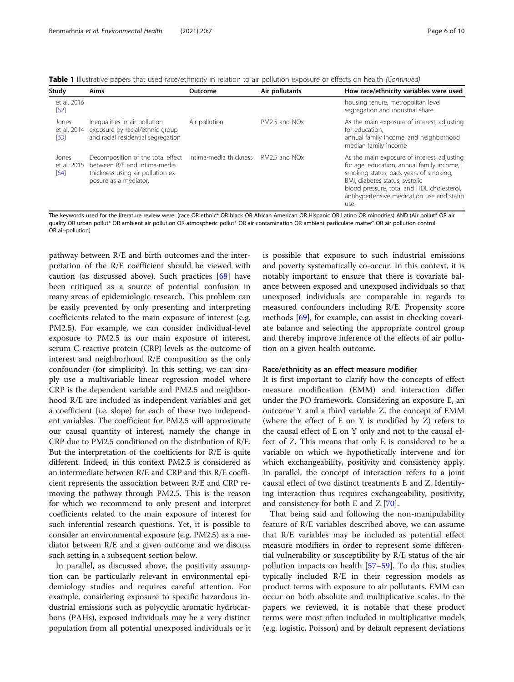Table 1 Illustrative papers that used race/ethnicity in relation to air pollution exposure or effects on health (Continued)

| Study                        | Aims                                                                                                                                                   | Outcome       | Air pollutants            | How race/ethnicity variables were used                                                                                                                                                                                                                                   |
|------------------------------|--------------------------------------------------------------------------------------------------------------------------------------------------------|---------------|---------------------------|--------------------------------------------------------------------------------------------------------------------------------------------------------------------------------------------------------------------------------------------------------------------------|
| et al. 2016<br>[62]          |                                                                                                                                                        |               |                           | housing tenure, metropolitan level<br>segregation and industrial share                                                                                                                                                                                                   |
| Jones<br>et al. 2014<br>[63] | Inequalities in air pollution<br>exposure by racial/ethnic group<br>and racial residential segregation                                                 | Air pollution | PM2.5 and NO <sub>x</sub> | As the main exposure of interest, adjusting<br>for education.<br>annual family income, and neighborhood<br>median family income                                                                                                                                          |
| Jones<br>et al. 2015<br>[64] | Decomposition of the total effect Intima-media thickness<br>between R/E and intima-media<br>thickness using air pollution ex-<br>posure as a mediator. |               | PM2.5 and NOx             | As the main exposure of interest, adjusting<br>for age, education, annual family income,<br>smoking status, pack-years of smoking,<br>BMI, diabetes status, systolic<br>blood pressure, total and HDL cholesterol,<br>antihypertensive medication use and statin<br>use. |

The keywords used for the literature review were: (race OR ethnic\* OR black OR African American OR Hispanic OR Latino OR minorities) AND (Air pollut\* OR air quality OR urban pollut\* OR ambient air pollution OR atmospheric pollut\* OR air contamination OR ambient particulate matter" OR air pollution control OR air-pollution)

pathway between R/E and birth outcomes and the interpretation of the R/E coefficient should be viewed with caution (as discussed above). Such practices [\[68\]](#page-9-0) have been critiqued as a source of potential confusion in many areas of epidemiologic research. This problem can be easily prevented by only presenting and interpreting coefficients related to the main exposure of interest (e.g. PM2.5). For example, we can consider individual-level exposure to PM2.5 as our main exposure of interest, serum C-reactive protein (CRP) levels as the outcome of interest and neighborhood R/E composition as the only confounder (for simplicity). In this setting, we can simply use a multivariable linear regression model where CRP is the dependent variable and PM2.5 and neighborhood R/E are included as independent variables and get a coefficient (i.e. slope) for each of these two independent variables. The coefficient for PM2.5 will approximate our causal quantity of interest, namely the change in CRP due to PM2.5 conditioned on the distribution of R/E. But the interpretation of the coefficients for R/E is quite different. Indeed, in this context PM2.5 is considered as an intermediate between R/E and CRP and this R/E coefficient represents the association between R/E and CRP removing the pathway through PM2.5. This is the reason for which we recommend to only present and interpret coefficients related to the main exposure of interest for such inferential research questions. Yet, it is possible to consider an environmental exposure (e.g. PM2.5) as a mediator between R/E and a given outcome and we discuss such setting in a subsequent section below.

In parallel, as discussed above, the positivity assumption can be particularly relevant in environmental epidemiology studies and requires careful attention. For example, considering exposure to specific hazardous industrial emissions such as polycyclic aromatic hydrocarbons (PAHs), exposed individuals may be a very distinct population from all potential unexposed individuals or it is possible that exposure to such industrial emissions and poverty systematically co-occur. In this context, it is notably important to ensure that there is covariate balance between exposed and unexposed individuals so that unexposed individuals are comparable in regards to measured confounders including R/E. Propensity score methods [\[69\]](#page-9-0), for example, can assist in checking covariate balance and selecting the appropriate control group and thereby improve inference of the effects of air pollution on a given health outcome.

#### Race/ethnicity as an effect measure modifier

It is first important to clarify how the concepts of effect measure modification (EMM) and interaction differ under the PO framework. Considering an exposure E, an outcome Y and a third variable Z, the concept of EMM (where the effect of E on Y is modified by Z) refers to the causal effect of E on Y only and not to the causal effect of Z. This means that only E is considered to be a variable on which we hypothetically intervene and for which exchangeability, positivity and consistency apply. In parallel, the concept of interaction refers to a joint causal effect of two distinct treatments E and Z. Identifying interaction thus requires exchangeability, positivity, and consistency for both E and Z [\[70](#page-9-0)].

That being said and following the non-manipulability feature of R/E variables described above, we can assume that R/E variables may be included as potential effect measure modifiers in order to represent some differential vulnerability or susceptibility by R/E status of the air pollution impacts on health [\[57](#page-8-0)–[59\]](#page-8-0). To do this, studies typically included R/E in their regression models as product terms with exposure to air pollutants. EMM can occur on both absolute and multiplicative scales. In the papers we reviewed, it is notable that these product terms were most often included in multiplicative models (e.g. logistic, Poisson) and by default represent deviations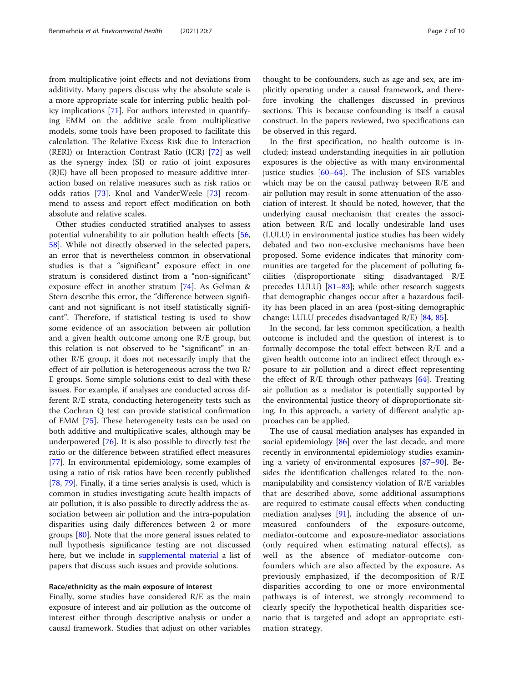from multiplicative joint effects and not deviations from additivity. Many papers discuss why the absolute scale is a more appropriate scale for inferring public health policy implications [\[71\]](#page-9-0). For authors interested in quantifying EMM on the additive scale from multiplicative models, some tools have been proposed to facilitate this calculation. The Relative Excess Risk due to Interaction (RERI) or Interaction Contrast Ratio (ICR) [[72\]](#page-9-0) as well as the synergy index (SI) or ratio of joint exposures (RJE) have all been proposed to measure additive interaction based on relative measures such as risk ratios or odds ratios [[73\]](#page-9-0). Knol and VanderWeele [[73\]](#page-9-0) recommend to assess and report effect modification on both absolute and relative scales.

Other studies conducted stratified analyses to assess potential vulnerability to air pollution health effects [[56](#page-8-0), [58\]](#page-8-0). While not directly observed in the selected papers, an error that is nevertheless common in observational studies is that a "significant" exposure effect in one stratum is considered distinct from a "non-significant" exposure effect in another stratum [\[74\]](#page-9-0). As Gelman & Stern describe this error, the "difference between significant and not significant is not itself statistically significant". Therefore, if statistical testing is used to show some evidence of an association between air pollution and a given health outcome among one R/E group, but this relation is not observed to be "significant" in another R/E group, it does not necessarily imply that the effect of air pollution is heterogeneous across the two R/ E groups. Some simple solutions exist to deal with these issues. For example, if analyses are conducted across different R/E strata, conducting heterogeneity tests such as the Cochran Q test can provide statistical confirmation of EMM [[75\]](#page-9-0). These heterogeneity tests can be used on both additive and multiplicative scales, although may be underpowered [\[76\]](#page-9-0). It is also possible to directly test the ratio or the difference between stratified effect measures [[77\]](#page-9-0). In environmental epidemiology, some examples of using a ratio of risk ratios have been recently published [[78,](#page-9-0) [79\]](#page-9-0). Finally, if a time series analysis is used, which is common in studies investigating acute health impacts of air pollution, it is also possible to directly address the association between air pollution and the intra-population disparities using daily differences between 2 or more groups [[80\]](#page-9-0). Note that the more general issues related to null hypothesis significance testing are not discussed here, but we include in [supplemental material](#page-7-0) a list of papers that discuss such issues and provide solutions.

## Race/ethnicity as the main exposure of interest

Finally, some studies have considered R/E as the main exposure of interest and air pollution as the outcome of interest either through descriptive analysis or under a causal framework. Studies that adjust on other variables

thought to be confounders, such as age and sex, are implicitly operating under a causal framework, and therefore invoking the challenges discussed in previous sections. This is because confounding is itself a causal construct. In the papers reviewed, two specifications can be observed in this regard.

In the first specification, no health outcome is included; instead understanding inequities in air pollution exposures is the objective as with many environmental justice studies [[60](#page-8-0)–[64](#page-8-0)]. The inclusion of SES variables which may be on the causal pathway between R/E and air pollution may result in some attenuation of the association of interest. It should be noted, however, that the underlying causal mechanism that creates the association between R/E and locally undesirable land uses (LULU) in environmental justice studies has been widely debated and two non-exclusive mechanisms have been proposed. Some evidence indicates that minority communities are targeted for the placement of polluting facilities (disproportionate siting: disadvantaged R/E precedes LULU)  $[81-83]$  $[81-83]$  $[81-83]$ ; while other research suggests that demographic changes occur after a hazardous facility has been placed in an area (post-siting demographic change: LULU precedes disadvantaged R/E) [[84,](#page-9-0) [85\]](#page-9-0).

In the second, far less common specification, a health outcome is included and the question of interest is to formally decompose the total effect between R/E and a given health outcome into an indirect effect through exposure to air pollution and a direct effect representing the effect of  $R/E$  through other pathways [[64\]](#page-8-0). Treating air pollution as a mediator is potentially supported by the environmental justice theory of disproportionate siting. In this approach, a variety of different analytic approaches can be applied.

The use of causal mediation analyses has expanded in social epidemiology [\[86](#page-9-0)] over the last decade, and more recently in environmental epidemiology studies examining a variety of environmental exposures [\[87](#page-9-0)–[90\]](#page-9-0). Besides the identification challenges related to the nonmanipulability and consistency violation of R/E variables that are described above, some additional assumptions are required to estimate causal effects when conducting mediation analyses  $[91]$  $[91]$ , including the absence of unmeasured confounders of the exposure-outcome, mediator-outcome and exposure-mediator associations (only required when estimating natural effects), as well as the absence of mediator-outcome confounders which are also affected by the exposure. As previously emphasized, if the decomposition of R/E disparities according to one or more environmental pathways is of interest, we strongly recommend to clearly specify the hypothetical health disparities scenario that is targeted and adopt an appropriate estimation strategy.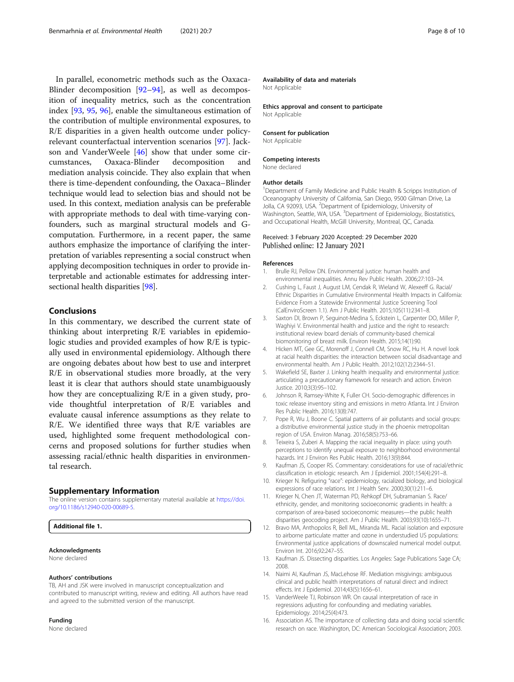<span id="page-7-0"></span>In parallel, econometric methods such as the Oaxaca-Blinder decomposition [\[92](#page-9-0)–[94](#page-9-0)], as well as decomposition of inequality metrics, such as the concentration index [\[93](#page-9-0), [95](#page-9-0), [96\]](#page-9-0), enable the simultaneous estimation of the contribution of multiple environmental exposures, to R/E disparities in a given health outcome under policyrelevant counterfactual intervention scenarios [[97\]](#page-9-0). Jackson and VanderWeele [\[46](#page-8-0)] show that under some circumstances, Oaxaca-Blinder decomposition and mediation analysis coincide. They also explain that when there is time-dependent confounding, the Oaxaca–Blinder technique would lead to selection bias and should not be used. In this context, mediation analysis can be preferable with appropriate methods to deal with time-varying confounders, such as marginal structural models and Gcomputation. Furthermore, in a recent paper, the same authors emphasize the importance of clarifying the interpretation of variables representing a social construct when applying decomposition techniques in order to provide interpretable and actionable estimates for addressing intersectional health disparities [[98](#page-9-0)].

## Conclusions

In this commentary, we described the current state of thinking about interpreting R/E variables in epidemiologic studies and provided examples of how R/E is typically used in environmental epidemiology. Although there are ongoing debates about how best to use and interpret R/E in observational studies more broadly, at the very least it is clear that authors should state unambiguously how they are conceptualizing R/E in a given study, provide thoughtful interpretation of R/E variables and evaluate causal inference assumptions as they relate to R/E. We identified three ways that R/E variables are used, highlighted some frequent methodological concerns and proposed solutions for further studies when assessing racial/ethnic health disparities in environmental research.

#### Supplementary Information

The online version contains supplementary material available at [https://doi.](https://doi.org/10.1186/s12940-020-00689-5) [org/10.1186/s12940-020-00689-5.](https://doi.org/10.1186/s12940-020-00689-5)

#### Additional file 1.

## Acknowledgments

None declared

## Authors' contributions

TB, AH and JSK were involved in manuscript conceptualization and contributed to manuscript writing, review and editing. All authors have read and agreed to the submitted version of the manuscript.

## Funding

None declared

#### Availability of data and materials

Not Applicable

Ethics approval and consent to participate Not Applicable

#### Consent for publication

Not Applicable

## Competing interests

None declared

#### Author details

<sup>1</sup>Department of Family Medicine and Public Health & Scripps Institution of Oceanography University of California, San Diego, 9500 Gilman Drive, La Jolla, CA 92093, USA. <sup>2</sup>Department of Epidemiology, University of Washington, Seattle, WA, USA. <sup>3</sup>Department of Epidemiology, Biostatistics, and Occupational Health, McGill University, Montreal, QC, Canada.

#### Received: 3 February 2020 Accepted: 29 December 2020 Published online: 12 January 2021

#### References

- Brulle RJ, Pellow DN. Environmental justice: human health and environmental inequalities. Annu Rev Public Health. 2006;27:103–24.
- 2. Cushing L, Faust J, August LM, Cendak R, Wieland W, Alexeeff G. Racial/ Ethnic Disparities in Cumulative Environmental Health Impacts in California: Evidence From a Statewide Environmental Justice Screening Tool (CalEnviroScreen 1.1). Am J Public Health. 2015;105(11):2341–8.
- 3. Saxton DI, Brown P, Seguinot-Medina S, Eckstein L, Carpenter DO, Miller P, Waghiyi V. Environmental health and justice and the right to research: institutional review board denials of community-based chemical biomonitoring of breast milk. Environ Health. 2015;14(1):90.
- 4. Hicken MT, Gee GC, Morenoff J, Connell CM, Snow RC, Hu H. A novel look at racial health disparities: the interaction between social disadvantage and environmental health. Am J Public Health. 2012;102(12):2344–51.
- 5. Wakefield SE, Baxter J. Linking health inequality and environmental justice: articulating a precautionary framework for research and action. Environ Justice. 2010;3(3):95–102.
- 6. Johnson R, Ramsey-White K, Fuller CH. Socio-demographic differences in toxic release inventory siting and emissions in metro Atlanta. Int J Environ Res Public Health. 2016;13(8):747.
- 7. Pope R, Wu J, Boone C. Spatial patterns of air pollutants and social groups: a distributive environmental justice study in the phoenix metropolitan region of USA. Environ Manag. 2016;58(5):753–66.
- 8. Teixeira S, Zuberi A. Mapping the racial inequality in place: using youth perceptions to identify unequal exposure to neighborhood environmental hazards. Int J Environ Res Public Health. 2016;13(9):844.
- 9. Kaufman JS, Cooper RS. Commentary: considerations for use of racial/ethnic classification in etiologic research. Am J Epidemiol. 2001;154(4):291–8.
- 10. Krieger N. Refiguring "race": epidemiology, racialized biology, and biological expressions of race relations. Int J Health Serv. 2000;30(1):211–6.
- 11. Krieger N, Chen JT, Waterman PD, Rehkopf DH, Subramanian S. Race/ ethnicity, gender, and monitoring socioeconomic gradients in health: a comparison of area-based socioeconomic measures—the public health disparities geocoding project. Am J Public Health. 2003;93(10):1655–71.
- 12. Bravo MA, Anthopolos R, Bell ML, Miranda ML. Racial isolation and exposure to airborne particulate matter and ozone in understudied US populations: Environmental justice applications of downscaled numerical model output. Environ Int. 2016;92:247–55.
- 13. Kaufman JS. Dissecting disparities. Los Angeles: Sage Publications Sage CA; 2008.
- 14. Naimi AI, Kaufman JS, MacLehose RF. Mediation misgivings: ambiguous clinical and public health interpretations of natural direct and indirect effects. Int J Epidemiol. 2014;43(5):1656–61.
- 15. VanderWeele TJ, Robinson WR. On causal interpretation of race in regressions adjusting for confounding and mediating variables. Epidemiology. 2014;25(4):473.
- 16. Association AS. The importance of collecting data and doing social scientific research on race. Washington, DC: American Sociological Association; 2003.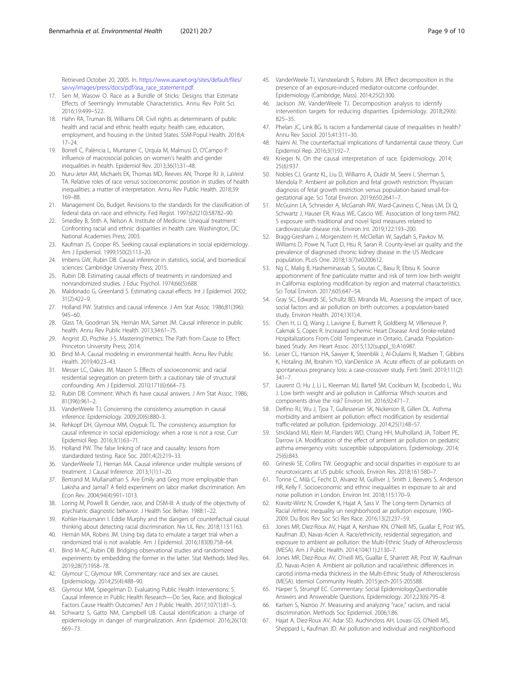<span id="page-8-0"></span>Retrieved October 20, 2005. In. [https://www.asanet.org/sites/default/files/](https://www.asanet.org/sites/default/files/savvy/images/press/docs/pdf/asa_race_statement.pdf) [savvy/images/press/docs/pdf/asa\\_race\\_statement.pdf](https://www.asanet.org/sites/default/files/savvy/images/press/docs/pdf/asa_race_statement.pdf).

- 17. Sen M, Wasow O, Race as a Bundle of Sticks: Designs that Estimate Effects of Seemingly Immutable Characteristics. Annu Rev Polit Sci. 2016;19:499–522.
- 18. Hahn RA, Truman BI, Williams DR. Civil rights as determinants of public health and racial and ethnic health equity: health care, education, employment, and housing in the United States. SSM-Popul Health. 2018;4: 17–24.
- 19. Borrell C, Palència L, Muntaner C, Urquía M, Malmusi D, O'Campo P. Influence of macrosocial policies on women's health and gender inequalities in health. Epidemiol Rev. 2013;36(1):31–48.
- 20. Nuru-Jeter AM, Michaels EK, Thomas MD, Reeves AN, Thorpe RJ Jr, LaVeist TA. Relative roles of race versus socioeconomic position in studies of health inequalities: a matter of interpretation. Annu Rev Public Health. 2018;39: 169–88.
- 21. Management Oo, Budget. Revisions to the standards for the classification of federal data on race and ethnicity. Fed Regist. 1997;62(210):58782–90.
- 22. Smedley B, Stith A, Nelson A. Institute of Medicine. Unequal treatment: Confronting racial and ethnic disparities in health care. Washington, DC: National Academies Press; 2003.
- 23. Kaufman JS, Cooper RS. Seeking causal explanations in social epidemiology. Am J Epidemiol. 1999;150(2):113–20.
- 24. Imbens GW, Rubin DB. Causal inference in statistics, social, and biomedical sciences: Cambridge University Press; 2015.
- 25. Rubin DB. Estimating causal effects of treatments in randomized and nonrandomized studies. J Educ Psychol. 1974;66(5):688.
- 26. Maldonado G, Greenland S. Estimating causal effects. Int J Epidemiol. 2002; 31(2):422–9.
- 27. Holland PW. Statistics and causal inference. J Am Stat Assoc. 1986;81(396): 945–60.
- 28. Glass TA, Goodman SN, Hernán MA, Samet JM. Causal inference in public health. Annu Rev Public Health. 2013;34:61–75.
- 29. Angrist JD, Pischke J-S. Mastering'metrics: The Path from Cause to Effect: Princeton University Press; 2014.
- 30. Bind M-A. Causal modeling in environmental health. Annu Rev Public Health. 2019;40:23–43.
- 31. Messer LC, Oakes JM, Mason S. Effects of socioeconomic and racial residential segregation on preterm birth: a cautionary tale of structural confounding. Am J Epidemiol. 2010;171(6):664–73.
- 32. Rubin DB. Comment: Which ifs have causal answers. J Am Stat Assoc. 1986; 81(396):961–2.
- 33. VanderWeele TJ. Concerning the consistency assumption in causal inference. Epidemiology. 2009;20(6):880–3.
- 34. Rehkopf DH, Glymour MM, Osypuk TL. The consistency assumption for causal inference in social epidemiology: when a rose is not a rose. Curr Epidemiol Rep. 2016;3(1):63–71.
- 35. Holland PW. The false linking of race and causality: lessons from standardized testing. Race Soc. 2001;4(2):219–33.
- 36. VanderWeele TJ, Hernan MA. Causal inference under multiple versions of treatment. J Causal Inference. 2013;1(1):1–20.
- 37. Bertrand M, Mullainathan S. Are Emily and Greg more employable than Lakisha and Jamal? A field experiment on labor market discrimination. Am Econ Rev. 2004;94(4):991–1013.
- 38. Loring M, Powell B. Gender, race, and DSM-III: A study of the objectivity of psychiatric diagnostic behavior. J Health Soc Behav. 1988:1–22.
- 39. Kohler-Hausmann I. Eddie Murphy and the dangers of counterfactual causal thinking about detecting racial discrimination. Nw UL Rev. 2018;113:1163.
- 40. Hernán MA, Robins JM. Using big data to emulate a target trial when a randomized trial is not available. Am J Epidemiol. 2016;183(8):758–64.
- 41. Bind M-AC, Rubin DB. Bridging observational studies and randomized experiments by embedding the former in the latter. Stat Methods Med Res. 2019;28(7):1958–78.
- 42. Glymour C, Glymour MR. Commentary: race and sex are causes. Epidemiology. 2014;25(4):488–90.
- 43. Glymour MM, Spiegelman D. Evaluating Public Health Interventions: 5. Causal Inference in Public Health Research—Do Sex, Race, and Biological Factors Cause Health Outcomes? Am J Public Health. 2017;107(1):81–5.
- 44. Schwartz S, Gatto NM, Campbell UB. Causal identification: a charge of epidemiology in danger of marginalization. Ann Epidemiol. 2016;26(10): 669–73.
- 45. VanderWeele TJ, Vansteelandt S, Robins JM. Effect decomposition in the presence of an exposure-induced mediator-outcome confounder. Epidemiology (Cambridge, Mass). 2014;25(2):300.
- 46. Jackson JW, VanderWeele TJ. Decomposition analysis to identify intervention targets for reducing disparities. Epidemiology. 2018;29(6): 825–35.
- 47. Phelan JC, Link BG. Is racism a fundamental cause of inequalities in health? Annu Rev Sociol. 2015;41:311–30.
- 48. Naimi AI. The counterfactual implications of fundamental cause theory. Curr Epidemiol Rep. 2016;3(1):92–7.
- 49. Krieger N. On the causal interpretation of race. Epidemiology. 2014; 25(6):937.
- 50. Nobles CJ, Grantz KL, Liu D, Williams A, Ouidir M, Seeni I, Sherman S, Mendola P. Ambient air pollution and fetal growth restriction: Physician diagnosis of fetal growth restriction versus population-based small-forgestational age. Sci Total Environ. 2019;650:2641–7.
- 51. McGuinn LA, Schneider A, McGarrah RW, Ward-Caviness C, Neas LM, Di Q, Schwartz J, Hauser ER, Kraus WE, Cascio WE. Association of long-term PM2. 5 exposure with traditional and novel lipid measures related to cardiovascular disease risk. Environ Int. 2019;122:193–200.
- 52. Bragg-Gresham J, Morgenstern H, McClellan W, Saydah S, Pavkov M, Williams D, Powe N, Tuot D, Hsu R, Saran R. County-level air quality and the prevalence of diagnosed chronic kidney disease in the US Medicare population. PLoS One. 2018;13(7):e0200612.
- Ng C, Malig B, Hasheminassab S, Sioutas C, Basu R, Ebisu K. Source apportionment of fine particulate matter and risk of term low birth weight in California: exploring modification by region and maternal characteristics. Sci Total Environ. 2017;605:647–54.
- 54. Gray SC, Edwards SE, Schultz BD, Miranda ML. Assessing the impact of race, social factors and air pollution on birth outcomes: a population-based study. Environ Health. 2014;13(1):4.
- 55. Chen H, Li Q, Wang J, Lavigne E, Burnett R, Goldberg M, Villeneuve P, Cakmak S, Copes R. Increased Ischemic Heart Disease And Stroke-related Hospitalizations From Cold Temperature in Ontario, Canada: Populationbased Study. Am Heart Assoc. 2015;132(suppl\_3):A16987.
- 56. Leiser CL, Hanson HA, Sawyer K, Steenblik J, Al-Dulaimi R, Madsen T, Gibbins K, Hotaling JM, Ibrahim YO, VanDerslice JA. Acute effects of air pollutants on spontaneous pregnancy loss: a case-crossover study. Ferti Steril. 2019;111(2): 341–7.
- 57. Laurent O, Hu J, Li L, Kleeman MJ, Bartell SM, Cockburn M, Escobedo L, Wu J. Low birth weight and air pollution in California: Which sources and components drive the risk? Environ Int. 2016;92:471–7.
- Delfino RJ, Wu J, Tjoa T, Gullesserian SK, Nickerson B, Gillen DL. Asthma morbidity and ambient air pollution: effect modification by residential traffic-related air pollution. Epidemiology. 2014;25(1):48–57.
- 59. Strickland MJ, Klein M, Flanders WD, Chang HH, Mulholland JA, Tolbert PE, Darrow LA. Modification of the effect of ambient air pollution on pediatric asthma emergency visits: susceptible subpopulations. Epidemiology. 2014; 25(6):843.
- 60. Grineski SE, Collins TW. Geographic and social disparities in exposure to air neurotoxicants at US public schools. Environ Res. 2018;161:580–7.
- 61. Tonne C, Milà C, Fecht D, Alvarez M, Gulliver J, Smith J, Beevers S, Anderson HR, Kelly F. Socioeconomic and ethnic inequalities in exposure to air and noise pollution in London. Environ Int. 2018;115:170–9.
- 62. Kravitz-Wirtz N, Crowder K, Hajat A, Sass V. The Long-term Dynamics of Racial /ethnic inequality un neighborhood air pollution exposure, 1990– 2009. Du Bois Rev Soc Sci Res Race. 2016;13(2):237–59.
- 63. Jones MR, Diez-Roux AV, Hajat A, Kershaw KN, O'Neill MS, Guallar E, Post WS, Kaufman JD, Navas-Acien A. Race/ethnicity, residential segregation, and exposure to ambient air pollution: the Multi-Ethnic Study of Atherosclerosis (MESA). Am J Public Health. 2014;104(11):2130–7.
- 64. Jones MR, Diez-Roux AV, O'neill MS, Guallar E, Sharrett AR, Post W, Kaufman JD, Navas-Acien A. Ambient air pollution and racial/ethnic differences in carotid intima-media thickness in the Multi-Ethnic Study of Atherosclerosis (MESA). Idemiol Community Health. 2015:jech-2015-205588.
- 65. Harper S, Strumpf EC. Commentary: Social EpidemiologyQuestionable Answers and Answerable Questions. Epidemiology. 2012;23(6):795–8.
- 66. Karlsen S, Nazroo JY. Measuring and analyzing "race," racism, and racial discrimination. Methods Soc Epidemiol. 2006;1:86.
- 67. Hajat A, Diez-Roux AV, Adar SD, Auchincloss AH, Lovasi GS, O'Neill MS, Sheppard L, Kaufman JD. Air pollution and individual and neighborhood